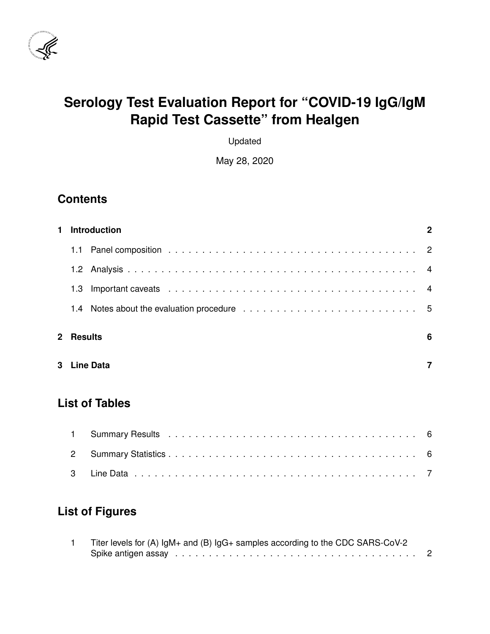

# **Serology Test Evaluation Report for "COVID-19 IgG/IgM Rapid Test Cassette" from Healgen**

Updated

May 28, 2020

## **Contents**

| 1. |             | <b>Introduction</b>   | 2 |
|----|-------------|-----------------------|---|
|    | 1.1         |                       |   |
|    |             |                       |   |
|    | 1.3         |                       |   |
|    |             |                       |   |
|    | 2 Results   |                       | 6 |
|    | 3 Line Data |                       |   |
|    |             | <b>List of Tables</b> |   |

## **List of Figures**

| Titer levels for (A) IgM+ and (B) IgG+ samples according to the CDC SARS-CoV-2 |  |
|--------------------------------------------------------------------------------|--|
|                                                                                |  |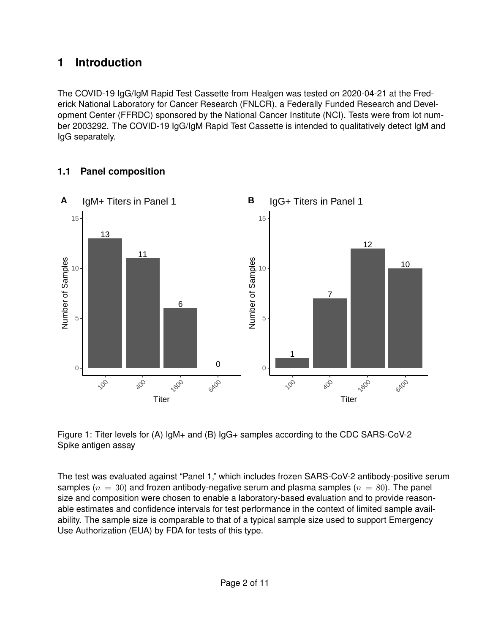## <span id="page-1-0"></span>**1 Introduction**

The COVID-19 IgG/IgM Rapid Test Cassette from Healgen was tested on 2020-04-21 at the Frederick National Laboratory for Cancer Research (FNLCR), a Federally Funded Research and Development Center (FFRDC) sponsored by the National Cancer Institute (NCI). Tests were from lot number 2003292. The COVID-19 IgG/IgM Rapid Test Cassette is intended to qualitatively detect IgM and IgG separately.

#### <span id="page-1-1"></span>**1.1 Panel composition**



<span id="page-1-2"></span>Figure 1: Titer levels for (A) IgM+ and (B) IgG+ samples according to the CDC SARS-CoV-2 Spike antigen assay

The test was evaluated against "Panel 1," which includes frozen SARS-CoV-2 antibody-positive serum samples ( $n = 30$ ) and frozen antibody-negative serum and plasma samples ( $n = 80$ ). The panel size and composition were chosen to enable a laboratory-based evaluation and to provide reasonable estimates and confidence intervals for test performance in the context of limited sample availability. The sample size is comparable to that of a typical sample size used to support Emergency Use Authorization (EUA) by FDA for tests of this type.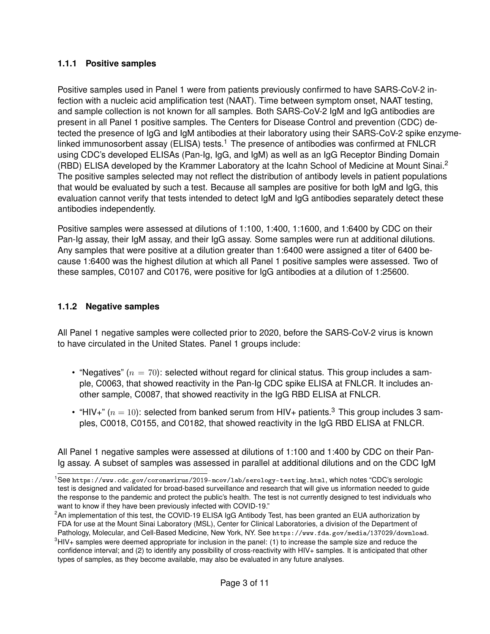#### **1.1.1 Positive samples**

Positive samples used in Panel 1 were from patients previously confirmed to have SARS-CoV-2 infection with a nucleic acid amplification test (NAAT). Time between symptom onset, NAAT testing, and sample collection is not known for all samples. Both SARS-CoV-2 IgM and IgG antibodies are present in all Panel 1 positive samples. The Centers for Disease Control and prevention (CDC) detected the presence of IgG and IgM antibodies at their laboratory using their SARS-CoV-2 spike enzyme-linked immunosorbent assay (ELISA) tests.<sup>[1](#page-2-0)</sup> The presence of antibodies was confirmed at FNLCR using CDC's developed ELISAs (Pan-Ig, IgG, and IgM) as well as an IgG Receptor Binding Domain (RBD) ELISA developed by the Krammer Laboratory at the Icahn School of Medicine at Mount Sinai.<sup>[2](#page-2-1)</sup> The positive samples selected may not reflect the distribution of antibody levels in patient populations that would be evaluated by such a test. Because all samples are positive for both IgM and IgG, this evaluation cannot verify that tests intended to detect IgM and IgG antibodies separately detect these antibodies independently.

Positive samples were assessed at dilutions of 1:100, 1:400, 1:1600, and 1:6400 by CDC on their Pan-Ig assay, their IgM assay, and their IgG assay. Some samples were run at additional dilutions. Any samples that were positive at a dilution greater than 1:6400 were assigned a titer of 6400 because 1:6400 was the highest dilution at which all Panel 1 positive samples were assessed. Two of these samples, C0107 and C0176, were positive for IgG antibodies at a dilution of 1:25600.

#### **1.1.2 Negative samples**

All Panel 1 negative samples were collected prior to 2020, before the SARS-CoV-2 virus is known to have circulated in the United States. Panel 1 groups include:

- "Negatives" ( $n = 70$ ): selected without regard for clinical status. This group includes a sample, C0063, that showed reactivity in the Pan-Ig CDC spike ELISA at FNLCR. It includes another sample, C0087, that showed reactivity in the IgG RBD ELISA at FNLCR.
- "HIV+"  $(n = 10)$ : selected from banked serum from HIV+ patients.<sup>[3](#page-2-2)</sup> This group includes 3 samples, C0018, C0155, and C0182, that showed reactivity in the IgG RBD ELISA at FNLCR.

All Panel 1 negative samples were assessed at dilutions of 1:100 and 1:400 by CDC on their Pan-Ig assay. A subset of samples was assessed in parallel at additional dilutions and on the CDC IgM

<span id="page-2-0"></span><sup>1</sup>See <https://www.cdc.gov/coronavirus/2019-ncov/lab/serology-testing.html>, which notes "CDC's serologic test is designed and validated for broad-based surveillance and research that will give us information needed to guide the response to the pandemic and protect the public's health. The test is not currently designed to test individuals who want to know if they have been previously infected with COVID-19."

<span id="page-2-1"></span><sup>&</sup>lt;sup>2</sup>An implementation of this test, the COVID-19 ELISA IgG Antibody Test, has been granted an EUA authorization by FDA for use at the Mount Sinai Laboratory (MSL), Center for Clinical Laboratories, a division of the Department of Pathology, Molecular, and Cell-Based Medicine, New York, NY. See <https://www.fda.gov/media/137029/download>.

<span id="page-2-2"></span> $3HIV+$  samples were deemed appropriate for inclusion in the panel: (1) to increase the sample size and reduce the confidence interval; and (2) to identify any possibility of cross-reactivity with HIV+ samples. It is anticipated that other types of samples, as they become available, may also be evaluated in any future analyses.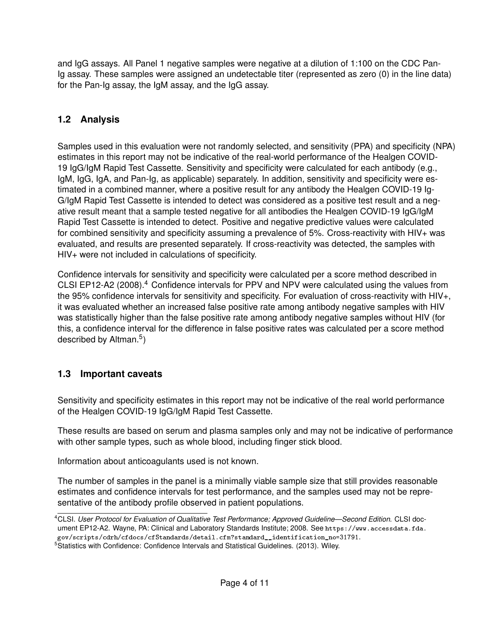and IgG assays. All Panel 1 negative samples were negative at a dilution of 1:100 on the CDC Pan-Ig assay. These samples were assigned an undetectable titer (represented as zero (0) in the line data) for the Pan-Ig assay, the IgM assay, and the IgG assay.

### <span id="page-3-0"></span>**1.2 Analysis**

Samples used in this evaluation were not randomly selected, and sensitivity (PPA) and specificity (NPA) estimates in this report may not be indicative of the real-world performance of the Healgen COVID-19 IgG/IgM Rapid Test Cassette. Sensitivity and specificity were calculated for each antibody (e.g., IgM, IgG, IgA, and Pan-Ig, as applicable) separately. In addition, sensitivity and specificity were estimated in a combined manner, where a positive result for any antibody the Healgen COVID-19 Ig-G/IgM Rapid Test Cassette is intended to detect was considered as a positive test result and a negative result meant that a sample tested negative for all antibodies the Healgen COVID-19 IgG/IgM Rapid Test Cassette is intended to detect. Positive and negative predictive values were calculated for combined sensitivity and specificity assuming a prevalence of 5%. Cross-reactivity with HIV+ was evaluated, and results are presented separately. If cross-reactivity was detected, the samples with HIV+ were not included in calculations of specificity.

Confidence intervals for sensitivity and specificity were calculated per a score method described in CLSI EP12-A2 (2008).<sup>[4](#page-3-2)</sup> Confidence intervals for PPV and NPV were calculated using the values from the 95% confidence intervals for sensitivity and specificity. For evaluation of cross-reactivity with HIV+, it was evaluated whether an increased false positive rate among antibody negative samples with HIV was statistically higher than the false positive rate among antibody negative samples without HIV (for this, a confidence interval for the difference in false positive rates was calculated per a score method described by Altman.<sup>[5](#page-3-3)</sup>)

### <span id="page-3-1"></span>**1.3 Important caveats**

Sensitivity and specificity estimates in this report may not be indicative of the real world performance of the Healgen COVID-19 IgG/IgM Rapid Test Cassette.

These results are based on serum and plasma samples only and may not be indicative of performance with other sample types, such as whole blood, including finger stick blood.

Information about anticoagulants used is not known.

The number of samples in the panel is a minimally viable sample size that still provides reasonable estimates and confidence intervals for test performance, and the samples used may not be representative of the antibody profile observed in patient populations.

<span id="page-3-2"></span><sup>4</sup>CLSI. *User Protocol for Evaluation of Qualitative Test Performance; Approved Guideline—Second Edition*. CLSI document EP12-A2. Wayne, PA: Clinical and Laboratory Standards Institute; 2008. See [https://www.accessdata.fda.](https://www.accessdata.fda.gov/scripts/cdrh/cfdocs/cfStandards/detail.cfm?standard__identification_no=31791) [gov/scripts/cdrh/cfdocs/cfStandards/detail.cfm?standard\\_\\_identification\\_no=31791](https://www.accessdata.fda.gov/scripts/cdrh/cfdocs/cfStandards/detail.cfm?standard__identification_no=31791).

<span id="page-3-3"></span><sup>&</sup>lt;sup>5</sup>Statistics with Confidence: Confidence Intervals and Statistical Guidelines. (2013). Wiley.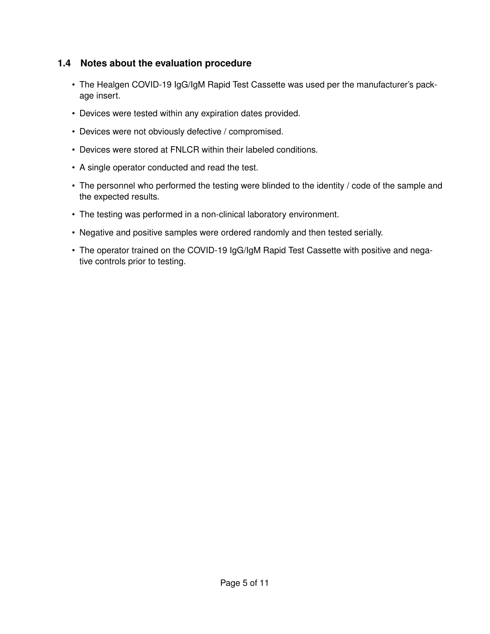#### <span id="page-4-0"></span>**1.4 Notes about the evaluation procedure**

- The Healgen COVID-19 IgG/IgM Rapid Test Cassette was used per the manufacturer's package insert.
- Devices were tested within any expiration dates provided.
- Devices were not obviously defective / compromised.
- Devices were stored at FNLCR within their labeled conditions.
- A single operator conducted and read the test.
- The personnel who performed the testing were blinded to the identity / code of the sample and the expected results.
- The testing was performed in a non-clinical laboratory environment.
- Negative and positive samples were ordered randomly and then tested serially.
- The operator trained on the COVID-19 IgG/IgM Rapid Test Cassette with positive and negative controls prior to testing.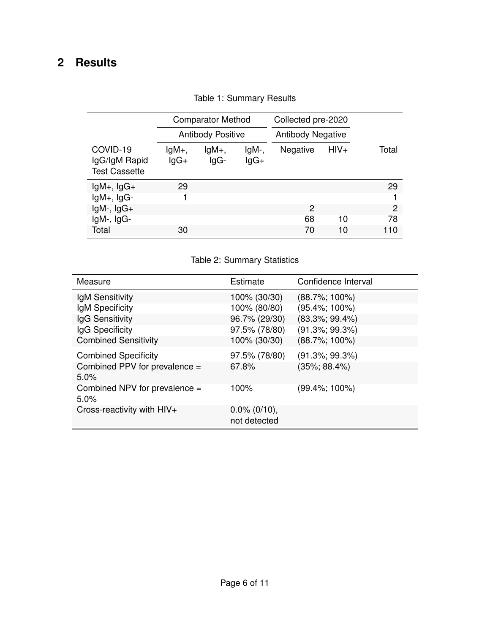## <span id="page-5-1"></span><span id="page-5-0"></span>**2 Results**

|                                                   |                   | <b>Comparator Method</b> |                 | Collected pre-2020       |        |       |
|---------------------------------------------------|-------------------|--------------------------|-----------------|--------------------------|--------|-------|
|                                                   |                   | <b>Antibody Positive</b> |                 | <b>Antibody Negative</b> |        |       |
| COVID-19<br>IgG/IgM Rapid<br><b>Test Cassette</b> | $lgM+,$<br>$lgG+$ | $lgM_{+}$<br>$lgG-$      | IgM-,<br>$lgG+$ | Negative                 | $HIV+$ | Total |
| $lgM+$ , $lgG+$                                   | 29                |                          |                 |                          |        | 29    |
| $lgM+$ , $lgG-$                                   |                   |                          |                 |                          |        |       |
| $lgM-$ , $lgG+$                                   |                   |                          |                 | 2                        |        | 2     |
| $lgM-$ , $lgG-$                                   |                   |                          |                 | 68                       | 10     | 78    |
| Total                                             | 30                |                          |                 | 70                       | 10     | 110   |

Table 1: Summary Results

#### Table 2: Summary Statistics

<span id="page-5-2"></span>

| Measure                               | Estimate                        | Confidence Interval |
|---------------------------------------|---------------------------------|---------------------|
| IgM Sensitivity                       | 100% (30/30)                    | $(88.7\%; 100\%)$   |
| IgM Specificity                       | 100% (80/80)                    | $(95.4\%; 100\%)$   |
| IgG Sensitivity                       | 96.7% (29/30)                   | $(83.3\%; 99.4\%)$  |
| IgG Specificity                       | 97.5% (78/80)                   | $(91.3\%; 99.3\%)$  |
| <b>Combined Sensitivity</b>           | 100% (30/30)                    | $(88.7\%; 100\%)$   |
| <b>Combined Specificity</b>           | 97.5% (78/80)                   | $(91.3\%; 99.3\%)$  |
| Combined PPV for prevalence =<br>5.0% | 67.8%                           | $(35\%; 88.4\%)$    |
| Combined NPV for prevalence =<br>5.0% | 100%                            | $(99.4\%; 100\%)$   |
| Cross-reactivity with HIV+            | $0.0\%$ (0/10),<br>not detected |                     |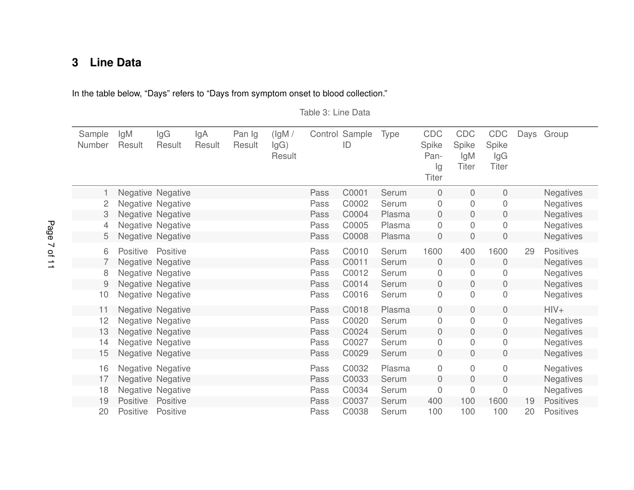## **3 Line Data**

<span id="page-6-1"></span>In the table below, "Days" refers to "Days from symptom onset to blood collection."

Table 3: Line Data

<span id="page-6-0"></span>

| Sample<br>Number | lgM<br>Result   | lgG<br>Result            | lgA<br>Result | Pan Ig<br>Result | (lgM /<br>lgG)<br>Result |      | Control Sample<br>ID | Type   | CDC<br>Spike<br>Pan-<br>lg<br><b>Titer</b> | CDC<br>Spike<br>IgM<br><b>Titer</b> | CDC<br>Spike<br>lgG<br><b>Titer</b> |    | Days Group       |
|------------------|-----------------|--------------------------|---------------|------------------|--------------------------|------|----------------------|--------|--------------------------------------------|-------------------------------------|-------------------------------------|----|------------------|
|                  |                 | <b>Negative Negative</b> |               |                  |                          | Pass | C0001                | Serum  | $\theta$                                   | 0                                   | 0                                   |    | <b>Negatives</b> |
| 2                |                 | Negative Negative        |               |                  |                          | Pass | C0002                | Serum  | $\mathbf 0$                                | 0                                   | 0                                   |    | <b>Negatives</b> |
| 3                |                 | Negative Negative        |               |                  |                          | Pass | C0004                | Plasma | $\mathbf 0$                                | 0                                   | $\boldsymbol{0}$                    |    | <b>Negatives</b> |
| 4                |                 | Negative Negative        |               |                  |                          | Pass | C0005                | Plasma | $\mathbf 0$                                | 0                                   | 0                                   |    | <b>Negatives</b> |
| 5                |                 | <b>Negative Negative</b> |               |                  |                          | Pass | C0008                | Plasma | $\overline{0}$                             | 0                                   | 0                                   |    | <b>Negatives</b> |
| 6                | <b>Positive</b> | Positive                 |               |                  |                          | Pass | C0010                | Serum  | 1600                                       | 400                                 | 1600                                | 29 | <b>Positives</b> |
|                  |                 | Negative Negative        |               |                  |                          | Pass | C0011                | Serum  | $\theta$                                   | 0                                   | $\overline{0}$                      |    | <b>Negatives</b> |
| 8                |                 | Negative Negative        |               |                  |                          | Pass | C0012                | Serum  | $\mathbf 0$                                | 0                                   | 0                                   |    | <b>Negatives</b> |
| 9                |                 | <b>Negative Negative</b> |               |                  |                          | Pass | C0014                | Serum  | $\overline{0}$                             | 0                                   | 0                                   |    | <b>Negatives</b> |
| 10               |                 | Negative Negative        |               |                  |                          | Pass | C0016                | Serum  | $\overline{0}$                             | 0                                   | 0                                   |    | <b>Negatives</b> |
| 11               |                 | <b>Negative Negative</b> |               |                  |                          | Pass | C0018                | Plasma | $\overline{0}$                             | 0                                   | $\overline{0}$                      |    | $HIV+$           |
| 12               |                 | Negative Negative        |               |                  |                          | Pass | C0020                | Serum  | $\overline{0}$                             | 0                                   | 0                                   |    | <b>Negatives</b> |
| 13               |                 | Negative Negative        |               |                  |                          | Pass | C0024                | Serum  | $\overline{0}$                             | 0                                   | $\mathbf 0$                         |    | <b>Negatives</b> |
| 14               |                 | Negative Negative        |               |                  |                          | Pass | C0027                | Serum  | $\overline{0}$                             | 0                                   | 0                                   |    | <b>Negatives</b> |
| 15               |                 | Negative Negative        |               |                  |                          | Pass | C0029                | Serum  | $\overline{0}$                             | 0                                   | 0                                   |    | <b>Negatives</b> |
| 16               |                 | Negative Negative        |               |                  |                          | Pass | C0032                | Plasma | $\overline{0}$                             | 0                                   | 0                                   |    | <b>Negatives</b> |
| 17               |                 | Negative Negative        |               |                  |                          | Pass | C0033                | Serum  | $\overline{0}$                             | 0                                   | 0                                   |    | <b>Negatives</b> |
| 18               |                 | Negative Negative        |               |                  |                          | Pass | C0034                | Serum  | $\mathbf 0$                                | 0                                   | $\overline{0}$                      |    | Negatives        |
| 19               | Positive        | Positive                 |               |                  |                          | Pass | C0037                | Serum  | 400                                        | 100                                 | 1600                                | 19 | <b>Positives</b> |
| 20               | Positive        | Positive                 |               |                  |                          | Pass | C0038                | Serum  | 100                                        | 100                                 | 100                                 | 20 | <b>Positives</b> |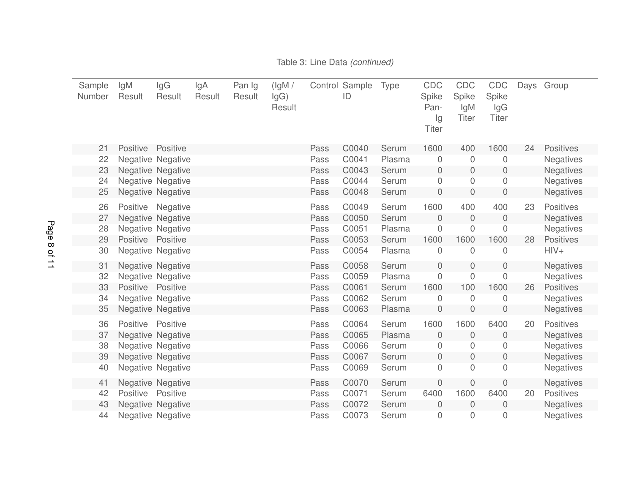| Sample<br>Number | lgM<br>Result     | lgG<br>Result            | lgA<br>Result | Pan Ig<br>Result | (lgM /<br>lgG)<br>Result |      | Control Sample<br>ID | Type   | <b>CDC</b><br>Spike<br>Pan-<br>lg<br><b>Titer</b> | CDC<br>Spike<br>lgM<br><b>Titer</b> | CDC<br>Spike<br>lgG<br><b>Titer</b> | Days | Group            |
|------------------|-------------------|--------------------------|---------------|------------------|--------------------------|------|----------------------|--------|---------------------------------------------------|-------------------------------------|-------------------------------------|------|------------------|
| 21               | Positive          | Positive                 |               |                  |                          | Pass | C0040                | Serum  | 1600                                              | 400                                 | 1600                                | 24   | <b>Positives</b> |
| 22               |                   | Negative Negative        |               |                  |                          | Pass | C0041                | Plasma | $\boldsymbol{0}$                                  | 0                                   | $\mathbf 0$                         |      | <b>Negatives</b> |
| 23               |                   | Negative Negative        |               |                  |                          | Pass | C0043                | Serum  | $\mathbf 0$                                       | 0                                   | $\mathbf 0$                         |      | <b>Negatives</b> |
| 24               |                   | <b>Negative Negative</b> |               |                  |                          | Pass | C0044                | Serum  | $\boldsymbol{0}$                                  | 0                                   | $\mathbf 0$                         |      | <b>Negatives</b> |
| 25               |                   | Negative Negative        |               |                  |                          | Pass | C0048                | Serum  | $\mathbf 0$                                       | $\mathsf{O}\xspace$                 | $\overline{0}$                      |      | <b>Negatives</b> |
| 26               | Positive          | Negative                 |               |                  |                          | Pass | C0049                | Serum  | 1600                                              | 400                                 | 400                                 | 23   | <b>Positives</b> |
| 27               |                   | Negative Negative        |               |                  |                          | Pass | C0050                | Serum  | $\overline{0}$                                    | $\overline{0}$                      | $\mathbf 0$                         |      | <b>Negatives</b> |
| 28               |                   | Negative Negative        |               |                  |                          | Pass | C0051                | Plasma | $\overline{0}$                                    | $\mathbf 0$                         | $\Omega$                            |      | <b>Negatives</b> |
| 29               | Positive Positive |                          |               |                  |                          | Pass | C0053                | Serum  | 1600                                              | 1600                                | 1600                                | 28   | <b>Positives</b> |
| 30               |                   | Negative Negative        |               |                  |                          | Pass | C0054                | Plasma | $\boldsymbol{0}$                                  | 0                                   | $\overline{0}$                      |      | $HIV+$           |
| 31               |                   | <b>Negative Negative</b> |               |                  |                          | Pass | C0058                | Serum  | $\mathbf 0$                                       | 0                                   | $\theta$                            |      | <b>Negatives</b> |
| 32               |                   | Negative Negative        |               |                  |                          | Pass | C0059                | Plasma | $\boldsymbol{0}$                                  | 0                                   | $\mathbf 0$                         |      | <b>Negatives</b> |
| 33               | Positive Positive |                          |               |                  |                          | Pass | C0061                | Serum  | 1600                                              | 100                                 | 1600                                | 26   | <b>Positives</b> |
| 34               |                   | Negative Negative        |               |                  |                          | Pass | C0062                | Serum  | 0                                                 | 0                                   | 0                                   |      | <b>Negatives</b> |
| 35               |                   | Negative Negative        |               |                  |                          | Pass | C0063                | Plasma | $\mathbf 0$                                       | $\boldsymbol{0}$                    | $\mathbf 0$                         |      | <b>Negatives</b> |
| 36               | <b>Positive</b>   | Positive                 |               |                  |                          | Pass | C0064                | Serum  | 1600                                              | 1600                                | 6400                                | 20   | <b>Positives</b> |
| 37               |                   | Negative Negative        |               |                  |                          | Pass | C0065                | Plasma | $\mathbf 0$                                       | 0                                   | $\mathbf 0$                         |      | <b>Negatives</b> |
| 38               |                   | Negative Negative        |               |                  |                          | Pass | C0066                | Serum  | 0                                                 | 0                                   | 0                                   |      | <b>Negatives</b> |
| 39               |                   | Negative Negative        |               |                  |                          | Pass | C0067                | Serum  | $\mathbf 0$                                       | $\mathbf 0$                         | $\mathbf 0$                         |      | <b>Negatives</b> |
| 40               |                   | Negative Negative        |               |                  |                          | Pass | C0069                | Serum  | $\boldsymbol{0}$                                  | $\overline{0}$                      | $\mathbf{0}$                        |      | <b>Negatives</b> |
| 41               |                   | <b>Negative Negative</b> |               |                  |                          | Pass | C0070                | Serum  | $\overline{0}$                                    | 0                                   | $\overline{0}$                      |      | <b>Negatives</b> |
| 42               | <b>Positive</b>   | Positive                 |               |                  |                          | Pass | C0071                | Serum  | 6400                                              | 1600                                | 6400                                | 20   | <b>Positives</b> |
| 43               |                   | Negative Negative        |               |                  |                          | Pass | C0072                | Serum  | $\mathbf 0$                                       | $\overline{0}$                      | $\mathbf 0$                         |      | <b>Negatives</b> |
| 44               |                   | <b>Negative Negative</b> |               |                  |                          | Pass | C0073                | Serum  | $\mathbf 0$                                       | 0                                   | 0                                   |      | Negatives        |

### Table 3: Line Data *(continued)*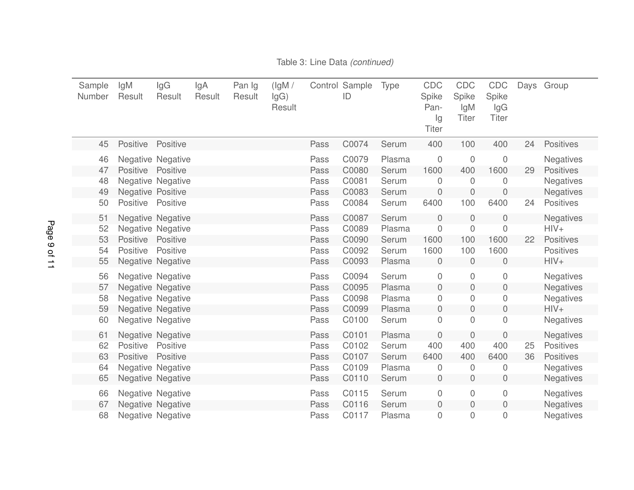| Sample<br>Number | lgM<br>Result            | lgG<br>Result            | lgA<br>Result | Pan Ig<br>Result | (lgM /<br>lgG)<br>Result |      | Control Sample<br>ID | <b>Type</b> | <b>CDC</b><br>Spike<br>Pan-<br>Ig<br><b>Titer</b> | CDC<br>Spike<br>lgM<br><b>Titer</b> | CDC<br>Spike<br>lgG<br><b>Titer</b> | Days | Group            |
|------------------|--------------------------|--------------------------|---------------|------------------|--------------------------|------|----------------------|-------------|---------------------------------------------------|-------------------------------------|-------------------------------------|------|------------------|
| 45               | Positive                 | Positive                 |               |                  |                          | Pass | C0074                | Serum       | 400                                               | 100                                 | 400                                 | 24   | <b>Positives</b> |
| 46               |                          | Negative Negative        |               |                  |                          | Pass | C0079                | Plasma      | $\mathbf 0$                                       | $\mathbf 0$                         | $\mathbf 0$                         |      | Negatives        |
| 47               | <b>Positive</b>          | Positive                 |               |                  |                          | Pass | C0080                | Serum       | 1600                                              | 400                                 | 1600                                | 29   | <b>Positives</b> |
| 48               |                          | Negative Negative        |               |                  |                          | Pass | C0081                | Serum       | $\mathbf 0$                                       | 0                                   | $\overline{0}$                      |      | Negatives        |
| 49               | <b>Negative Positive</b> |                          |               |                  |                          | Pass | C0083                | Serum       | $\sqrt{a}$                                        | $\sqrt{a}$                          | $\mathbf 0$                         |      | <b>Negatives</b> |
| 50               | Positive                 | Positive                 |               |                  |                          | Pass | C0084                | Serum       | 6400                                              | 100                                 | 6400                                | 24   | <b>Positives</b> |
| 51               |                          | Negative Negative        |               |                  |                          | Pass | C0087                | Serum       | $\mathbf 0$                                       | 0                                   | $\mathbf 0$                         |      | <b>Negatives</b> |
| 52               |                          | Negative Negative        |               |                  |                          | Pass | C0089                | Plasma      | $\sqrt{a}$                                        | 0                                   | $\mathbf 0$                         |      | $HIV+$           |
| 53               | Positive                 | Positive                 |               |                  |                          | Pass | C0090                | Serum       | 1600                                              | 100                                 | 1600                                | 22   | <b>Positives</b> |
| 54               | <b>Positive</b>          | Positive                 |               |                  |                          | Pass | C0092                | Serum       | 1600                                              | 100                                 | 1600                                |      | <b>Positives</b> |
| 55               |                          | <b>Negative Negative</b> |               |                  |                          | Pass | C0093                | Plasma      | $\mathbf 0$                                       | 0                                   | $\mathbf 0$                         |      | $HIV+$           |
| 56               |                          | Negative Negative        |               |                  |                          | Pass | C0094                | Serum       | $\mathbf 0$                                       | $\mathbf 0$                         | $\mathbf 0$                         |      | Negatives        |
| 57               |                          | Negative Negative        |               |                  |                          | Pass | C0095                | Plasma      | $\sqrt{0}$                                        | 0                                   | $\mathbf 0$                         |      | <b>Negatives</b> |
| 58               |                          | Negative Negative        |               |                  |                          | Pass | C0098                | Plasma      | 0                                                 | 0                                   | 0                                   |      | <b>Negatives</b> |
| 59               |                          | Negative Negative        |               |                  |                          | Pass | C0099                | Plasma      | $\mathbf 0$                                       | 0                                   | $\mathbf 0$                         |      | $HIV+$           |
| 60               |                          | Negative Negative        |               |                  |                          | Pass | C0100                | Serum       | $\mathbf 0$                                       | $\overline{0}$                      | $\mathbf 0$                         |      | <b>Negatives</b> |
| 61               |                          | <b>Negative Negative</b> |               |                  |                          | Pass | C0101                | Plasma      | 0                                                 | 0                                   | 0                                   |      | <b>Negatives</b> |
| 62               | Positive                 | Positive                 |               |                  |                          | Pass | C0102                | Serum       | 400                                               | 400                                 | 400                                 | 25   | <b>Positives</b> |
| 63               | Positive                 | Positive                 |               |                  |                          | Pass | C0107                | Serum       | 6400                                              | 400                                 | 6400                                | 36   | <b>Positives</b> |
| 64               |                          | Negative Negative        |               |                  |                          | Pass | C0109                | Plasma      | $\mathbf 0$                                       | 0                                   | 0                                   |      | <b>Negatives</b> |
| 65               |                          | Negative Negative        |               |                  |                          | Pass | C0110                | Serum       | $\mathbf 0$                                       | $\overline{0}$                      | $\mathbf 0$                         |      | <b>Negatives</b> |
| 66               |                          | Negative Negative        |               |                  |                          | Pass | C0115                | Serum       | $\mathbf 0$                                       | 0                                   | $\mathbf 0$                         |      | <b>Negatives</b> |
| 67               |                          | Negative Negative        |               |                  |                          | Pass | C0116                | Serum       | $\boldsymbol{0}$                                  | 0                                   | $\mathbf 0$                         |      | <b>Negatives</b> |
| 68               |                          | <b>Negative Negative</b> |               |                  |                          | Pass | C0117                | Plasma      | 0                                                 | 0                                   | 0                                   |      | <b>Negatives</b> |

#### Table 3: Line Data *(continued)*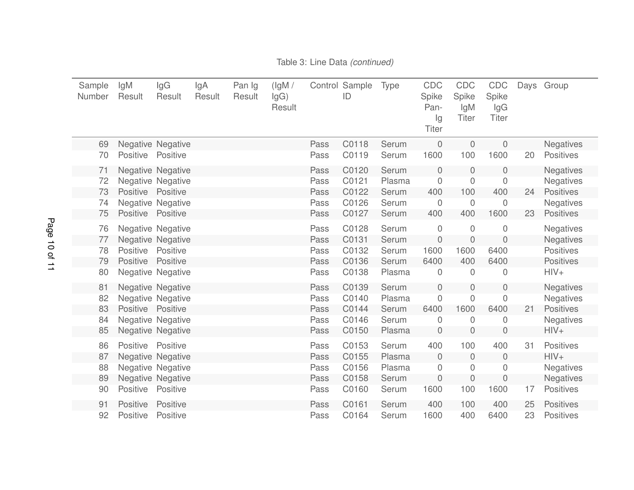| Sample<br>Number | lgM<br>Result   | lgG<br>Result            | lgA<br>Result | Pan Ig<br>Result | (lgM /<br>lgG)<br>Result |      | Control Sample<br>ID | <b>Type</b> | CDC<br>Spike<br>Pan-<br>lg<br><b>Titer</b> | CDC<br>Spike<br>lgM<br><b>Titer</b> | CDC<br>Spike<br>lgG<br><b>Titer</b> | Days | Group            |
|------------------|-----------------|--------------------------|---------------|------------------|--------------------------|------|----------------------|-------------|--------------------------------------------|-------------------------------------|-------------------------------------|------|------------------|
| 69               |                 | Negative Negative        |               |                  |                          | Pass | C0118                | Serum       | $\sqrt{a}$                                 | $\overline{0}$                      | $\overline{0}$                      |      | <b>Negatives</b> |
| 70               | Positive        | Positive                 |               |                  |                          | Pass | C0119                | Serum       | 1600                                       | 100                                 | 1600                                | 20   | <b>Positives</b> |
| 71               |                 | Negative Negative        |               |                  |                          | Pass | C0120                | Serum       | $\mathbf 0$                                | 0                                   | $\theta$                            |      | <b>Negatives</b> |
| 72               |                 | Negative Negative        |               |                  |                          | Pass | C0121                | Plasma      | $\mathbf 0$                                | 0                                   | 0                                   |      | <b>Negatives</b> |
| 73               | Positive        | Positive                 |               |                  |                          | Pass | C0122                | Serum       | 400                                        | 100                                 | 400                                 | 24   | <b>Positives</b> |
| 74               |                 | Negative Negative        |               |                  |                          | Pass | C0126                | Serum       | $\mathbf 0$                                | 0                                   | $\overline{0}$                      |      | Negatives        |
| 75               | Positive        | Positive                 |               |                  |                          | Pass | C0127                | Serum       | 400                                        | 400                                 | 1600                                | 23   | <b>Positives</b> |
| 76               |                 | <b>Negative Negative</b> |               |                  |                          | Pass | C0128                | Serum       | $\sqrt{a}$                                 | $\overline{0}$                      | $\overline{0}$                      |      | <b>Negatives</b> |
| 77               |                 | <b>Negative Negative</b> |               |                  |                          | Pass | C0131                | Serum       | $\mathbf 0$                                | 0                                   | $\overline{0}$                      |      | <b>Negatives</b> |
| 78               | Positive        | Positive                 |               |                  |                          | Pass | C0132                | Serum       | 1600                                       | 1600                                | 6400                                |      | <b>Positives</b> |
| 79               | Positive        | Positive                 |               |                  |                          | Pass | C0136                | Serum       | 6400                                       | 400                                 | 6400                                |      | <b>Positives</b> |
| 80               |                 | Negative Negative        |               |                  |                          | Pass | C0138                | Plasma      | $\mathbf 0$                                | 0                                   | 0                                   |      | $HIV+$           |
| 81               |                 | Negative Negative        |               |                  |                          | Pass | C0139                | Serum       | $\mathbf 0$                                | 0                                   | $\mathbf 0$                         |      | <b>Negatives</b> |
| 82               |                 | Negative Negative        |               |                  |                          | Pass | C0140                | Plasma      | $\mathbf 0$                                | 0                                   | 0                                   |      | <b>Negatives</b> |
| 83               | <b>Positive</b> | Positive                 |               |                  |                          | Pass | C0144                | Serum       | 6400                                       | 1600                                | 6400                                | 21   | <b>Positives</b> |
| 84               |                 | <b>Negative Negative</b> |               |                  |                          | Pass | C0146                | Serum       | $\overline{0}$                             | 0                                   | 0                                   |      | <b>Negatives</b> |
| 85               |                 | Negative Negative        |               |                  |                          | Pass | C0150                | Plasma      | $\boldsymbol{0}$                           | 0                                   | $\mathbf 0$                         |      | $HIV+$           |
| 86               | Positive        | Positive                 |               |                  |                          | Pass | C0153                | Serum       | 400                                        | 100                                 | 400                                 | 31   | <b>Positives</b> |
| 87               |                 | Negative Negative        |               |                  |                          | Pass | C0155                | Plasma      | $\overline{0}$                             | 0                                   | $\Omega$                            |      | $HIV+$           |
| 88               |                 | Negative Negative        |               |                  |                          | Pass | C0156                | Plasma      | $\mathbf 0$                                | 0                                   | 0                                   |      | <b>Negatives</b> |
| 89               |                 | Negative Negative        |               |                  |                          | Pass | C0158                | Serum       | $\mathbf 0$                                | $\mathbf 0$                         | $\mathbf 0$                         |      | <b>Negatives</b> |
| 90               | Positive        | Positive                 |               |                  |                          | Pass | C0160                | Serum       | 1600                                       | 100                                 | 1600                                | 17   | <b>Positives</b> |
| 91               | Positive        | Positive                 |               |                  |                          | Pass | C0161                | Serum       | 400                                        | 100                                 | 400                                 | 25   | <b>Positives</b> |
| 92               | Positive        | Positive                 |               |                  |                          | Pass | C0164                | Serum       | 1600                                       | 400                                 | 6400                                | 23   | <b>Positives</b> |

### Table 3: Line Data *(continued)*